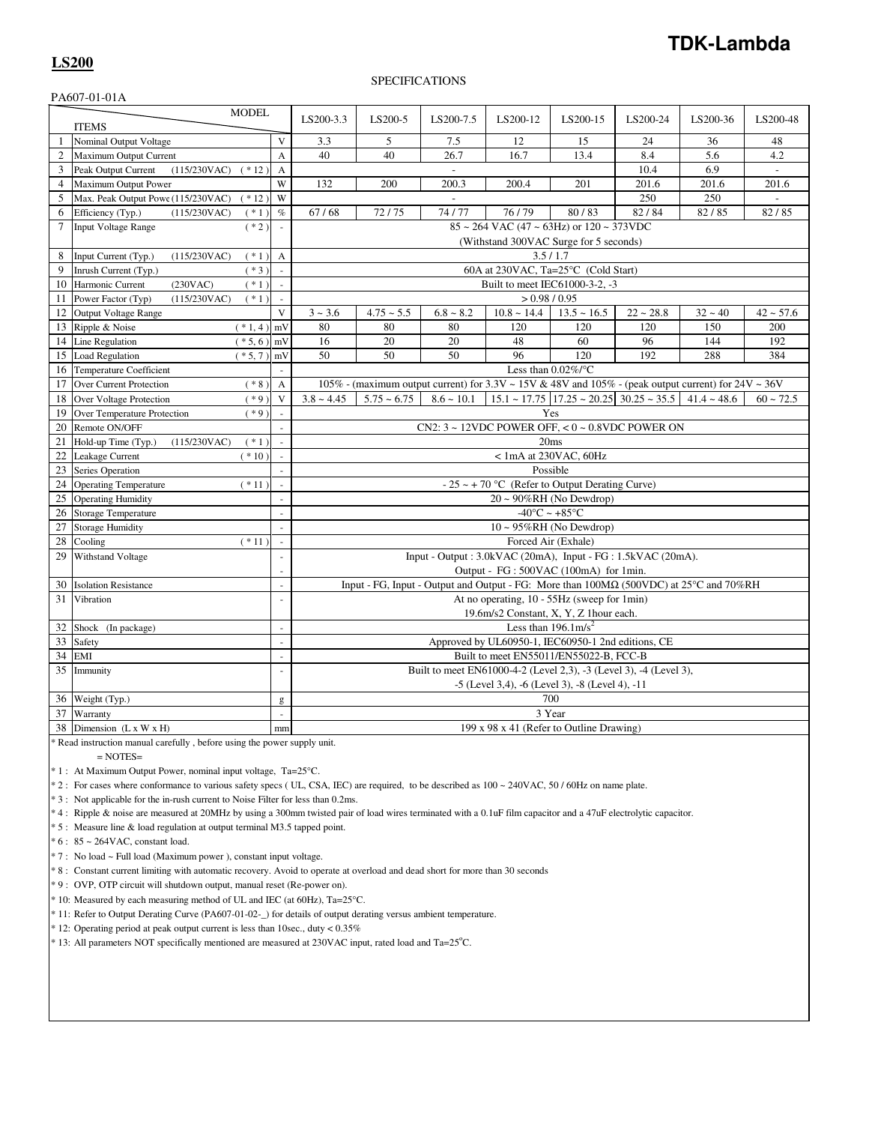## SPECIFICATIONS

|                 | PA607-01-01A                                    |                |                                                                                                                               |               |                          |                  |                                                                                     |             |           |                          |
|-----------------|-------------------------------------------------|----------------|-------------------------------------------------------------------------------------------------------------------------------|---------------|--------------------------|------------------|-------------------------------------------------------------------------------------|-------------|-----------|--------------------------|
|                 | <b>MODEL</b><br><b>ITEMS</b>                    |                | LS200-3.3                                                                                                                     | LS200-5       | LS200-7.5                | LS200-12         | LS200-15                                                                            | LS200-24    | LS200-36  | LS200-48                 |
| -1              | Nominal Output Voltage                          | V              | 3.3                                                                                                                           | 5             | 7.5                      | 12               | 15                                                                                  | 24          | 36        | 48                       |
| 2               | Maximum Output Current                          | $\overline{A}$ | 40                                                                                                                            | 40            | 26.7                     | 16.7             | 13.4                                                                                | 8.4         | 5.6       | 4.2                      |
| 3               |                                                 |                |                                                                                                                               |               |                          |                  |                                                                                     | 10.4        | 6.9       |                          |
|                 | Peak Output Current<br>(115/230VAC)<br>$(*12)$  | $\overline{A}$ |                                                                                                                               |               | $\overline{\phantom{a}}$ |                  |                                                                                     |             |           | $\overline{\phantom{a}}$ |
| $\overline{4}$  | <b>Maximum Output Power</b>                     | W              | 132                                                                                                                           | 200           | 200.3                    | 200.4            | 201                                                                                 | 201.6       | 201.6     | 201.6                    |
| 5               | Max. Peak Output Powe (115/230VAC)<br>$(* 12)$  | W              |                                                                                                                               |               |                          |                  |                                                                                     | 250         | 250       |                          |
| 6               | Efficiency (Typ.)<br>(115/230VAC)<br>$(* 1)$    | $\%$           | 67/68                                                                                                                         | 72/75         | 74/77                    | 76/79            | 80/83                                                                               | 82/84       | 82/85     | 82/85                    |
| $7\phantom{.0}$ | $(* 2)$<br>Input Voltage Range                  |                | $85 \sim 264$ VAC (47 $\sim 63$ Hz) or $120 \sim 373$ VDC                                                                     |               |                          |                  |                                                                                     |             |           |                          |
|                 |                                                 |                | (Withstand 300VAC Surge for 5 seconds)                                                                                        |               |                          |                  |                                                                                     |             |           |                          |
| 8               | Input Current (Typ.)<br>$(* 1)$<br>(115/230VAC) | $\mathbf{A}$   | 3.5/1.7                                                                                                                       |               |                          |                  |                                                                                     |             |           |                          |
| 9               | Inrush Current (Typ.)<br>$(*3)$                 | ÷.             | 60A at 230VAC, Ta=25°C (Cold Start)                                                                                           |               |                          |                  |                                                                                     |             |           |                          |
| 10              | Harmonic Current<br>(230VAC)<br>$(*1)$          |                | Built to meet IEC61000-3-2, -3<br>> 0.98 / 0.95                                                                               |               |                          |                  |                                                                                     |             |           |                          |
| 11              | Power Factor (Typ)<br>(115/230VAC)<br>$(* 1)$   | $\omega$       |                                                                                                                               |               |                          |                  |                                                                                     |             |           |                          |
| 12              | Output Voltage Range                            | $\mathbf{V}$   | $3 - 3.6$                                                                                                                     | $4.75 - 5.5$  | $6.8 \sim 8.2$           | $10.8 \sim 14.4$ | $13.5 \sim 16.5$                                                                    | $22 - 28.8$ | $32 - 40$ | $42 \sim 57.6$           |
| 13              | Ripple & Noise<br>$(*1,4)$                      | mV             | 80                                                                                                                            | 80            | 80                       | 120              | 120                                                                                 | 120         | 150       | 200                      |
| 14              | Line Regulation<br>$(* 5, 6)$                   | mV             | 16                                                                                                                            | 20            | 20                       | 48               | 60                                                                                  | 96          | 144       | 192                      |
| 15              | Load Regulation<br>$(* 5, 7)$                   | mV             | 50                                                                                                                            | 50            | 50                       | 96               | 120                                                                                 | 192         | 288       | 384                      |
| 16              | <b>Temperature Coefficient</b>                  |                | Less than $0.02\%$ /°C<br>105% - (maximum output current) for 3.3V ~ 15V & 48V and 105% - (peak output current) for 24V ~ 36V |               |                          |                  |                                                                                     |             |           |                          |
| 17              | Over Current Protection<br>$(* 8)$              | $\mathbf{A}$   |                                                                                                                               |               |                          |                  |                                                                                     |             |           |                          |
| 18              | $(*9)$<br>Over Voltage Protection               | V              | $3.8 \sim 4.45$                                                                                                               | $5.75 - 6.75$ | $8.6 \sim 10.1$          |                  | $15.1 \approx 17.75$ $17.25 \approx 20.25$ $30.25 \approx 35.5$ $41.4 \approx 48.6$ |             |           | $60 - 72.5$              |
| 19              | Over Temperature Protection<br>$(*9)$           |                |                                                                                                                               |               |                          |                  | Yes                                                                                 |             |           |                          |
| 20              | Remote ON/OFF                                   |                | CN2: $3 \sim 12$ VDC POWER OFF, $< 0 \sim 0.8$ VDC POWER ON                                                                   |               |                          |                  |                                                                                     |             |           |                          |
| 21              | Hold-up Time (Typ.)<br>(115/230VAC)<br>$(* 1)$  | $\sim$         | 20ms                                                                                                                          |               |                          |                  |                                                                                     |             |           |                          |
| 22              | Leakage Current<br>$(*10)$                      |                | $< 1$ mA at 230VAC, 60Hz                                                                                                      |               |                          |                  |                                                                                     |             |           |                          |
| 23              | Series Operation                                |                | Possible                                                                                                                      |               |                          |                  |                                                                                     |             |           |                          |
| 24              | <b>Operating Temperature</b><br>$(* 11)$        |                | - 25 ~ + 70 °C (Refer to Output Derating Curve)                                                                               |               |                          |                  |                                                                                     |             |           |                          |
| 25              | <b>Operating Humidity</b>                       |                | $20 \sim 90\% RH$ (No Dewdrop)                                                                                                |               |                          |                  |                                                                                     |             |           |                          |
| 26              | <b>Storage Temperature</b>                      |                | $-40^{\circ}$ C ~ $+85^{\circ}$ C                                                                                             |               |                          |                  |                                                                                     |             |           |                          |
| 27              | <b>Storage Humidity</b>                         |                | $10 \sim 95\% RH$ (No Dewdrop)                                                                                                |               |                          |                  |                                                                                     |             |           |                          |
| 28              | Cooling<br>$(* 11)$                             | $\mathbb{Z}^2$ | Forced Air (Exhale)                                                                                                           |               |                          |                  |                                                                                     |             |           |                          |
| 29              | Withstand Voltage                               |                | Input - Output : 3.0kVAC (20mA), Input - FG : 1.5kVAC (20mA).<br>Output - FG : 500VAC (100mA) for 1min.                       |               |                          |                  |                                                                                     |             |           |                          |
| 30              | <b>Isolation Resistance</b>                     | $\mathbf{r}$   | Input - FG, Input - Output and Output - FG: More than 100MΩ (500VDC) at 25°C and 70%RH                                        |               |                          |                  |                                                                                     |             |           |                          |
| 31              | Vibration                                       | ÷.             |                                                                                                                               |               |                          |                  | At no operating, 10 - 55Hz (sweep for 1min)                                         |             |           |                          |
|                 |                                                 |                |                                                                                                                               |               |                          |                  | 19.6m/s2 Constant, X, Y, Z 1hour each.                                              |             |           |                          |
| 32              | Shock (In package)                              | $\overline{a}$ | Less than $196.1 \text{m/s}^2$                                                                                                |               |                          |                  |                                                                                     |             |           |                          |
| 33              | Safety                                          | $\overline{a}$ | Approved by UL60950-1, IEC60950-1 2nd editions, CE                                                                            |               |                          |                  |                                                                                     |             |           |                          |
| 34              | EMI                                             | $\sim$         | Built to meet EN55011/EN55022-B, FCC-B                                                                                        |               |                          |                  |                                                                                     |             |           |                          |
| 35              | Immunity                                        | L.             | Built to meet EN61000-4-2 (Level 2,3), -3 (Level 3), -4 (Level 3),                                                            |               |                          |                  |                                                                                     |             |           |                          |
|                 |                                                 |                |                                                                                                                               |               |                          |                  | -5 (Level 3,4), -6 (Level 3), -8 (Level 4), -11                                     |             |           |                          |
| 36              | Weight (Typ.)                                   | g              | 700                                                                                                                           |               |                          |                  |                                                                                     |             |           |                          |
| 37              | Warranty                                        | $\mathbb{Z}^2$ |                                                                                                                               |               |                          |                  | 3 Year                                                                              |             |           |                          |
|                 | 38 Dimension $(L \times W \times H)$            | mm             |                                                                                                                               |               |                          |                  | 199 x 98 x 41 (Refer to Outline Drawing)                                            |             |           |                          |

\* Read instruction manual carefully , before using the power supply unit.

 $=$  NOTES $=$ 

\* 1 : At Maximum Output Power, nominal input voltage, Ta=25°C.

\* 2 : For cases where conformance to various safety specs ( UL, CSA, IEC) are required, to be described as 100 ~ 240VAC, 50 / 60Hz on name plate.

\* 3 : Not applicable for the in-rush current to Noise Filter for less than 0.2ms.

\* 4 : Ripple & noise are measured at 20MHz by using a 300mm twisted pair of load wires terminated with a 0.1uF film capacitor and a 47uF electrolytic capacitor.

\* 5 : Measure line & load regulation at output terminal M3.5 tapped point.

\* 6 : 85 ~ 264VAC, constant load.

\* 7 : No load ~ Full load (Maximum power ), constant input voltage.

\* 8 : Constant current limiting with automatic recovery. Avoid to operate at overload and dead short for more than 30 seconds

\* 9 : OVP, OTP circuit will shutdown output, manual reset (Re-power on).

\* 10: Measured by each measuring method of UL and IEC (at 60Hz), Ta=25°C.

\* 11: Refer to Output Derating Curve (PA607-01-02-\_) for details of output derating versus ambient temperature.

\* 12: Operating period at peak output current is less than 10sec., duty < 0.35%

\* 13: All parameters NOT specifically mentioned are measured at 230VAC input, rated load and Ta=25°C.